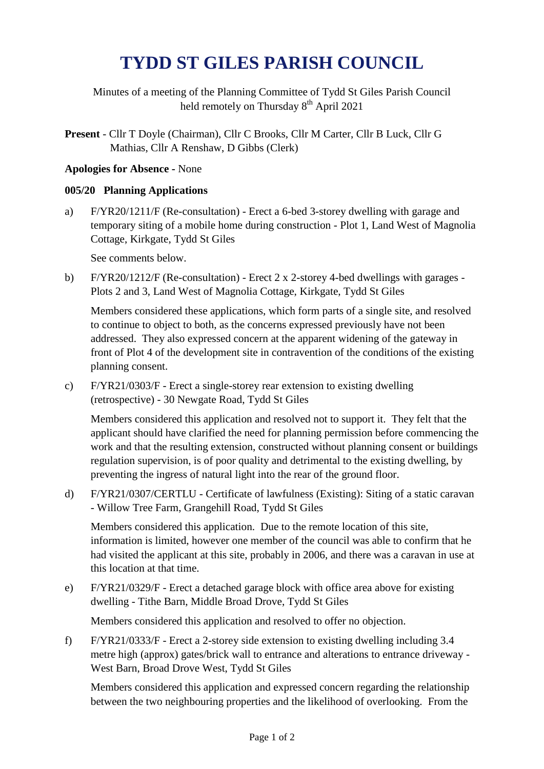## **TYDD ST GILES PARISH COUNCIL**

Minutes of a meeting of the Planning Committee of Tydd St Giles Parish Council held remotely on Thursday 8<sup>th</sup> April 2021

**Present** - Cllr T Doyle (Chairman), Cllr C Brooks, Cllr M Carter, Cllr B Luck, Cllr G Mathias, Cllr A Renshaw, D Gibbs (Clerk)

## **Apologies for Absence -** None

## **005/20 Planning Applications**

a) F/YR20/1211/F (Re-consultation) - Erect a 6-bed 3-storey dwelling with garage and temporary siting of a mobile home during construction - Plot 1, Land West of Magnolia Cottage, Kirkgate, Tydd St Giles

See comments below.

b) F/YR20/1212/F (Re-consultation) - Erect 2 x 2-storey 4-bed dwellings with garages - Plots 2 and 3, Land West of Magnolia Cottage, Kirkgate, Tydd St Giles

Members considered these applications, which form parts of a single site, and resolved to continue to object to both, as the concerns expressed previously have not been addressed. They also expressed concern at the apparent widening of the gateway in front of Plot 4 of the development site in contravention of the conditions of the existing planning consent.

c) F/YR21/0303/F - Erect a single-storey rear extension to existing dwelling (retrospective) - 30 Newgate Road, Tydd St Giles

Members considered this application and resolved not to support it. They felt that the applicant should have clarified the need for planning permission before commencing the work and that the resulting extension, constructed without planning consent or buildings regulation supervision, is of poor quality and detrimental to the existing dwelling, by preventing the ingress of natural light into the rear of the ground floor.

d) F/YR21/0307/CERTLU - Certificate of lawfulness (Existing): Siting of a static caravan - Willow Tree Farm, Grangehill Road, Tydd St Giles

Members considered this application. Due to the remote location of this site, information is limited, however one member of the council was able to confirm that he had visited the applicant at this site, probably in 2006, and there was a caravan in use at this location at that time.

e) F/YR21/0329/F - Erect a detached garage block with office area above for existing dwelling - Tithe Barn, Middle Broad Drove, Tydd St Giles

Members considered this application and resolved to offer no objection.

f) F/YR21/0333/F - Erect a 2-storey side extension to existing dwelling including 3.4 metre high (approx) gates/brick wall to entrance and alterations to entrance driveway - West Barn, Broad Drove West, Tydd St Giles

Members considered this application and expressed concern regarding the relationship between the two neighbouring properties and the likelihood of overlooking. From the